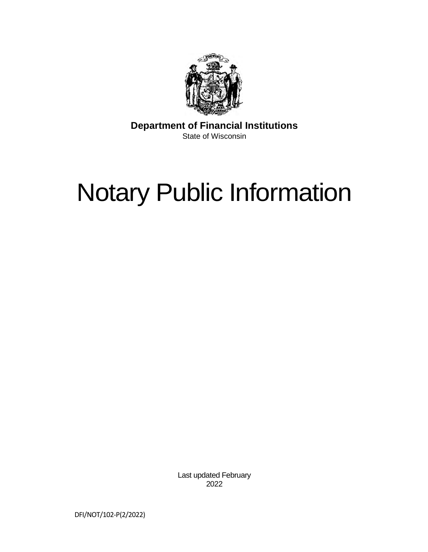

**Department of Financial Institutions**  State of Wisconsin

# Notary Public Information

Last updated February 2022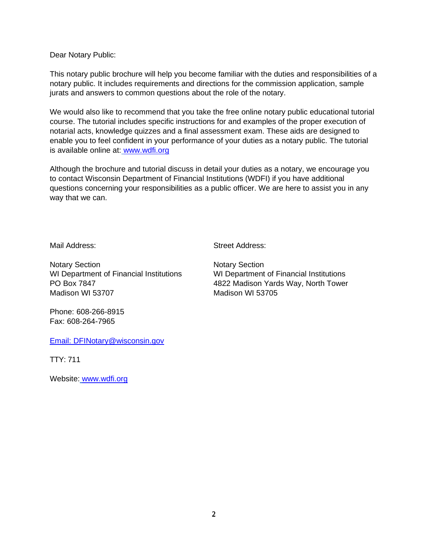Dear Notary Public:

This notary public brochure will help you become familiar with the duties and responsibilities of a notary public. It includes requirements and directions for the commission application, sample jurats and answers to common questions about the role of the notary.

We would also like to recommend that you take the free online notary public educational tutorial course. The tutorial includes specific instructions for and examples of the proper execution of notarial acts, knowledge quizzes and a final assessment exam. These aids are designed to enable you to feel confident in your performance of your duties as a notary public. The tutorial is available online at: [www.wdfi.org](http://www.wdfi.org/) 

Although the brochure and tutorial discuss in detail your duties as a notary, we encourage you to contact Wisconsin Department of Financial Institutions (WDFI) if you have additional questions concerning your responsibilities as a public officer. We are here to assist you in any way that we can.

Mail Address: Street Address:

Notary Section Notary Section WI Department of Financial Institutions WI Department of Financial Institutions Madison WI 53707 Madison WI 53705

PO Box 7847 4822 Madison Yards Way, North Tower

Phone: 608-266-8915 Fax: 608-264-7965

[Email:](mailto:DFINotary@wisconsin.gov) DFINotary@wisconsin.gov

TTY: 711

Website: [www.wdfi.org](http://www.wdfi.org/)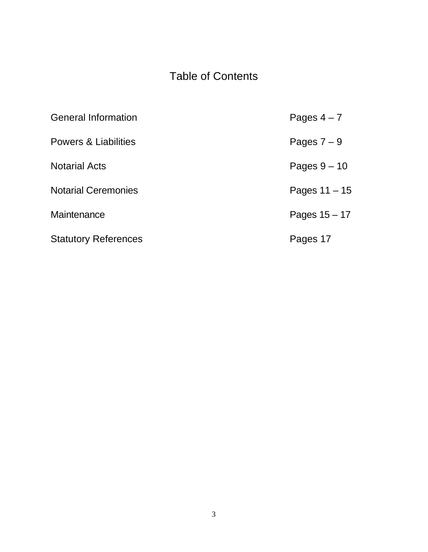# Table of Contents

| <b>General Information</b>  | Pages $4 - 7$   |
|-----------------------------|-----------------|
| Powers & Liabilities        | Pages $7-9$     |
| <b>Notarial Acts</b>        | Pages $9 - 10$  |
| <b>Notarial Ceremonies</b>  | Pages $11 - 15$ |
| Maintenance                 | Pages $15 - 17$ |
| <b>Statutory References</b> | Pages 17        |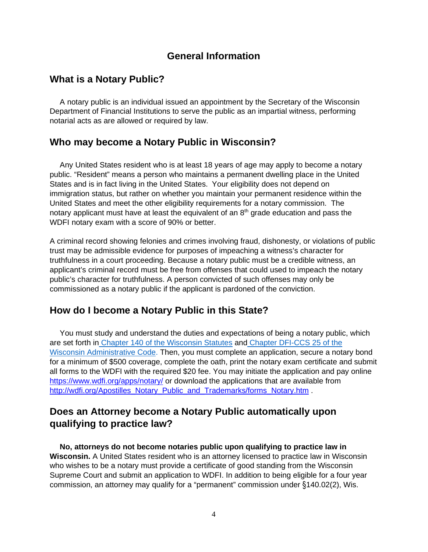# **General Information**

# **What is a Notary Public?**

A notary public is an individual issued an appointment by the Secretary of the Wisconsin Department of Financial Institutions to serve the public as an impartial witness, performing notarial acts as are allowed or required by law.

# **Who may become a Notary Public in Wisconsin?**

Any United States resident who is at least 18 years of age may apply to become a notary public. "Resident" means a person who maintains a permanent dwelling place in the United States and is in fact living in the United States. Your eligibility does not depend on immigration status, but rather on whether you maintain your permanent residence within the United States and meet the other eligibility requirements for a notary commission. The notary applicant must have at least the equivalent of an 8<sup>th</sup> grade education and pass the WDFI notary exam with a score of 90% or better.

A criminal record showing felonies and crimes involving fraud, dishonesty, or violations of public trust may be admissible evidence for purposes of impeaching a witness's character for truthfulness in a court proceeding. Because a notary public must be a credible witness, an applicant's criminal record must be free from offenses that could used to impeach the notary public's character for truthfulness. A person convicted of such offenses may only be commissioned as a notary public if the applicant is pardoned of the conviction.

# **How do I become a Notary Public in this State?**

You must study and understand the duties and expectations of being a notary public, which are set forth in Chapter 140 of the Wisconsin Statutes and Chapter DFI-CCS 25 of the Wisconsin Administrative Code. Then, you must complete an application, secure a notary bond for a minimum of \$500 coverage, complete the oath, print the notary exam certificate and submit all forms to the WDFI with the required \$20 fee. You may initiate the application and pay online <https://www.wdfi.org/apps/notary/>or download the applications that are available from [http://wdfi.org/Apostilles\\_Notary\\_Public\\_and\\_Trademarks/forms\\_Notary.htm](http://wdfi.org/Apostilles_Notary_Public_and_Trademarks/forms_Notary.htm) .

# **Does an Attorney become a Notary Public automatically upon qualifying to practice law?**

**No, attorneys do not become notaries public upon qualifying to practice law in Wisconsin.** A United States resident who is an attorney licensed to practice law in Wisconsin who wishes to be a notary must provide a certificate of good standing from the Wisconsin Supreme Court and submit an application to WDFI. In addition to being eligible for a four year commission, an attorney may qualify for a "permanent" commission under §140.02(2), Wis.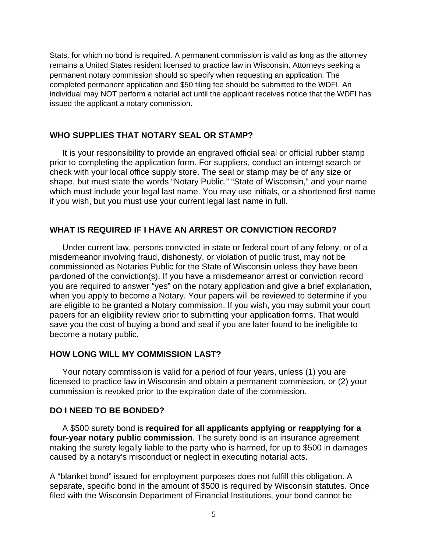Stats. for which no bond is required. A permanent commission is valid as long as the attorney remains a United States resident licensed to practice law in Wisconsin. Attorneys seeking a permanent notary commission should so specify when requesting an application. The completed permanent application and \$50 filing fee should be submitted to the WDFI. An individual may NOT perform a notarial act until the applicant receives notice that the WDFI has issued the applicant a notary commission.

#### **WHO SUPPLIES THAT NOTARY SEAL OR STAMP?**

It is your responsibility to provide an engraved official seal or official rubber stamp prior to completing the application form. For suppliers, conduct an internet search or check with your local office supply store. The seal or stamp may be of any size or shape, but must state the words "Notary Public," "State of Wisconsin," and your name which must include your legal last name. You may use initials, or a shortened first name if you wish, but you must use your current legal last name in full.

#### **WHAT IS REQUIRED IF I HAVE AN ARREST OR CONVICTION RECORD?**

Under current law, persons convicted in state or federal court of any felony, or of a misdemeanor involving fraud, dishonesty, or violation of public trust, may not be commissioned as Notaries Public for the State of Wisconsin unless they have been pardoned of the conviction(s). If you have a misdemeanor arrest or conviction record you are required to answer "yes" on the notary application and give a brief explanation, when you apply to become a Notary. Your papers will be reviewed to determine if you are eligible to be granted a Notary commission. If you wish, you may submit your court papers for an eligibility review prior to submitting your application forms. That would save you the cost of buying a bond and seal if you are later found to be ineligible to become a notary public.

#### **HOW LONG WILL MY COMMISSION LAST?**

Your notary commission is valid for a period of four years, unless (1) you are licensed to practice law in Wisconsin and obtain a permanent commission, or (2) your commission is revoked prior to the expiration date of the commission.

#### **DO I NEED TO BE BONDED?**

A \$500 surety bond is **required for all applicants applying or reapplying for a four-year notary public commission**. The surety bond is an insurance agreement making the surety legally liable to the party who is harmed, for up to \$500 in damages caused by a notary's misconduct or neglect in executing notarial acts.

A "blanket bond" issued for employment purposes does not fulfill this obligation. A separate, specific bond in the amount of \$500 is required by Wisconsin statutes. Once filed with the Wisconsin Department of Financial Institutions, your bond cannot be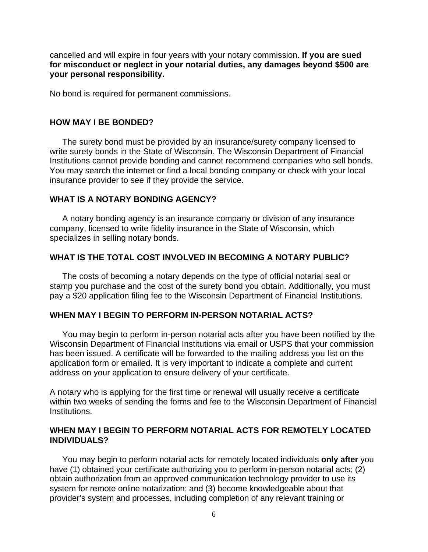cancelled and will expire in four years with your notary commission. **If you are sued for misconduct or neglect in your notarial duties, any damages beyond \$500 are your personal responsibility.**

No bond is required for permanent commissions.

#### **HOW MAY I BE BONDED?**

The surety bond must be provided by an insurance/surety company licensed to write surety bonds in the State of Wisconsin. The Wisconsin Department of Financial Institutions cannot provide bonding and cannot recommend companies who sell bonds. You may search the internet or find a local bonding company or check with your local insurance provider to see if they provide the service.

#### **WHAT IS A NOTARY BONDING AGENCY?**

A notary bonding agency is an insurance company or division of any insurance company, licensed to write fidelity insurance in the State of Wisconsin, which specializes in selling notary bonds.

#### **WHAT IS THE TOTAL COST INVOLVED IN BECOMING A NOTARY PUBLIC?**

The costs of becoming a notary depends on the type of official notarial seal or stamp you purchase and the cost of the surety bond you obtain. Additionally, you must pay a \$20 application filing fee to the Wisconsin Department of Financial Institutions.

#### **WHEN MAY I BEGIN TO PERFORM IN-PERSON NOTARIAL ACTS?**

You may begin to perform in-person notarial acts after you have been notified by the Wisconsin Department of Financial Institutions via email or USPS that your commission has been issued. A certificate will be forwarded to the mailing address you list on the application form or emailed. It is very important to indicate a complete and current address on your application to ensure delivery of your certificate.

A notary who is applying for the first time or renewal will usually receive a certificate within two weeks of sending the forms and fee to the Wisconsin Department of Financial Institutions.

#### **WHEN MAY I BEGIN TO PERFORM NOTARIAL ACTS FOR REMOTELY LOCATED INDIVIDUALS?**

You may begin to perform notarial acts for remotely located individuals **only after** you have (1) obtained your certificate authorizing you to perform in-person notarial acts; (2) obtain authorization from an approved communication technology provider to use its system for remote online notarization; and (3) become knowledgeable about that provider's system and processes, including completion of any relevant training or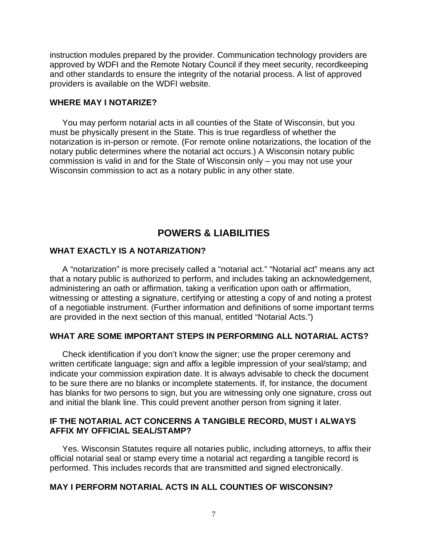instruction modules prepared by the provider. Communication technology providers are approved by WDFI and the Remote Notary Council if they meet security, recordkeeping and other standards to ensure the integrity of the notarial process. A list of approved providers is available on the WDFI website.

#### **WHERE MAY I NOTARIZE?**

You may perform notarial acts in all counties of the State of Wisconsin, but you must be physically present in the State. This is true regardless of whether the notarization is in-person or remote. (For remote online notarizations, the location of the notary public determines where the notarial act occurs.) A Wisconsin notary public commission is valid in and for the State of Wisconsin only – you may not use your Wisconsin commission to act as a notary public in any other state.

# **POWERS & LIABILITIES**

#### **WHAT EXACTLY IS A NOTARIZATION?**

A "notarization" is more precisely called a "notarial act." "Notarial act" means any act that a notary public is authorized to perform, and includes taking an acknowledgement, administering an oath or affirmation, taking a verification upon oath or affirmation, witnessing or attesting a signature, certifying or attesting a copy of and noting a protest of a negotiable instrument. (Further information and definitions of some important terms are provided in the next section of this manual, entitled "Notarial Acts.")

#### **WHAT ARE SOME IMPORTANT STEPS IN PERFORMING ALL NOTARIAL ACTS?**

Check identification if you don't know the signer; use the proper ceremony and written certificate language; sign and affix a legible impression of your seal/stamp; and indicate your commission expiration date. It is always advisable to check the document to be sure there are no blanks or incomplete statements. If, for instance, the document has blanks for two persons to sign, but you are witnessing only one signature, cross out and initial the blank line. This could prevent another person from signing it later.

#### **IF THE NOTARIAL ACT CONCERNS A TANGIBLE RECORD, MUST I ALWAYS AFFIX MY OFFICIAL SEAL/STAMP?**

Yes. Wisconsin Statutes require all notaries public, including attorneys, to affix their official notarial seal or stamp every time a notarial act regarding a tangible record is performed. This includes records that are transmitted and signed electronically.

#### **MAY I PERFORM NOTARIAL ACTS IN ALL COUNTIES OF WISCONSIN?**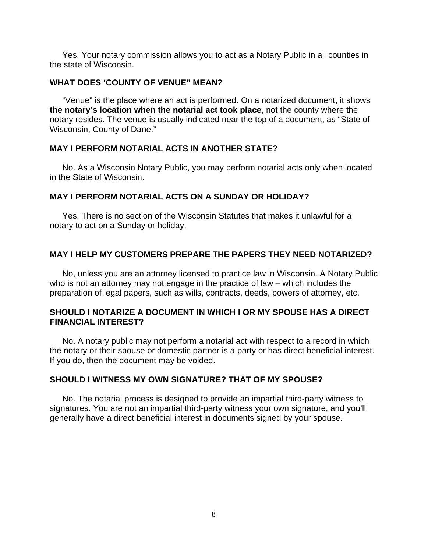Yes. Your notary commission allows you to act as a Notary Public in all counties in the state of Wisconsin.

#### **WHAT DOES 'COUNTY OF VENUE" MEAN?**

"Venue" is the place where an act is performed. On a notarized document, it shows **the notary's location when the notarial act took place**, not the county where the notary resides. The venue is usually indicated near the top of a document, as "State of Wisconsin, County of Dane."

#### **MAY I PERFORM NOTARIAL ACTS IN ANOTHER STATE?**

No. As a Wisconsin Notary Public, you may perform notarial acts only when located in the State of Wisconsin.

#### **MAY I PERFORM NOTARIAL ACTS ON A SUNDAY OR HOLIDAY?**

Yes. There is no section of the Wisconsin Statutes that makes it unlawful for a notary to act on a Sunday or holiday.

#### **MAY I HELP MY CUSTOMERS PREPARE THE PAPERS THEY NEED NOTARIZED?**

No, unless you are an attorney licensed to practice law in Wisconsin. A Notary Public who is not an attorney may not engage in the practice of law – which includes the preparation of legal papers, such as wills, contracts, deeds, powers of attorney, etc.

#### **SHOULD I NOTARIZE A DOCUMENT IN WHICH I OR MY SPOUSE HAS A DIRECT FINANCIAL INTEREST?**

No. A notary public may not perform a notarial act with respect to a record in which the notary or their spouse or domestic partner is a party or has direct beneficial interest. If you do, then the document may be voided.

# **SHOULD I WITNESS MY OWN SIGNATURE? THAT OF MY SPOUSE?**

No. The notarial process is designed to provide an impartial third-party witness to signatures. You are not an impartial third-party witness your own signature, and you'll generally have a direct beneficial interest in documents signed by your spouse.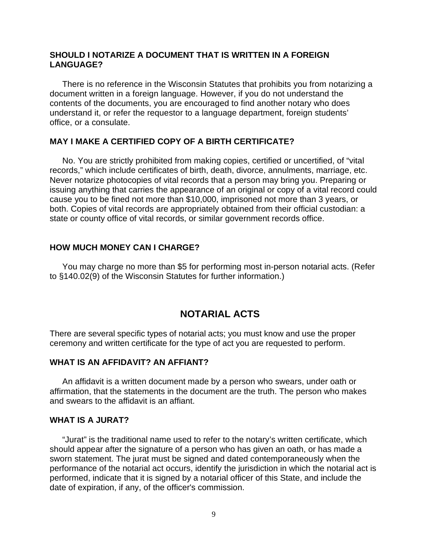#### **SHOULD I NOTARIZE A DOCUMENT THAT IS WRITTEN IN A FOREIGN LANGUAGE?**

There is no reference in the Wisconsin Statutes that prohibits you from notarizing a document written in a foreign language. However, if you do not understand the contents of the documents, you are encouraged to find another notary who does understand it, or refer the requestor to a language department, foreign students' office, or a consulate.

#### **MAY I MAKE A CERTIFIED COPY OF A BIRTH CERTIFICATE?**

No. You are strictly prohibited from making copies, certified or uncertified, of "vital records," which include certificates of birth, death, divorce, annulments, marriage, etc. Never notarize photocopies of vital records that a person may bring you. Preparing or issuing anything that carries the appearance of an original or copy of a vital record could cause you to be fined not more than \$10,000, imprisoned not more than 3 years, or both. Copies of vital records are appropriately obtained from their official custodian: a state or county office of vital records, or similar government records office.

#### **HOW MUCH MONEY CAN I CHARGE?**

You may charge no more than \$5 for performing most in-person notarial acts. (Refer to §140.02(9) of the Wisconsin Statutes for further information.)

# **NOTARIAL ACTS**

There are several specific types of notarial acts; you must know and use the proper ceremony and written certificate for the type of act you are requested to perform.

#### **WHAT IS AN AFFIDAVIT? AN AFFIANT?**

An affidavit is a written document made by a person who swears, under oath or affirmation, that the statements in the document are the truth. The person who makes and swears to the affidavit is an affiant.

#### **WHAT IS A JURAT?**

"Jurat" is the traditional name used to refer to the notary's written certificate, which should appear after the signature of a person who has given an oath, or has made a sworn statement. The jurat must be signed and dated contemporaneously when the performance of the notarial act occurs, identify the jurisdiction in which the notarial act is performed, indicate that it is signed by a notarial officer of this State, and include the date of expiration, if any, of the officer's commission.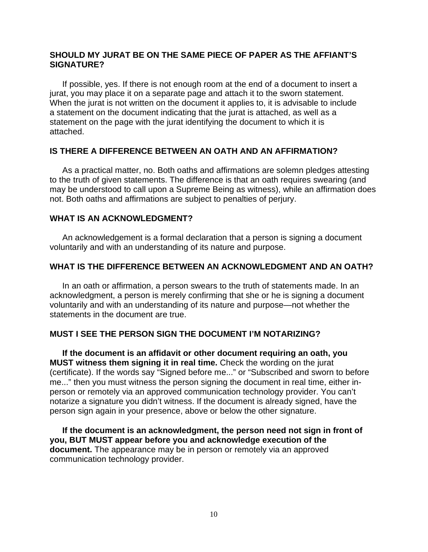#### **SHOULD MY JURAT BE ON THE SAME PIECE OF PAPER AS THE AFFIANT'S SIGNATURE?**

If possible, yes. If there is not enough room at the end of a document to insert a jurat, you may place it on a separate page and attach it to the sworn statement. When the jurat is not written on the document it applies to, it is advisable to include a statement on the document indicating that the jurat is attached, as well as a statement on the page with the jurat identifying the document to which it is attached.

#### **IS THERE A DIFFERENCE BETWEEN AN OATH AND AN AFFIRMATION?**

As a practical matter, no. Both oaths and affirmations are solemn pledges attesting to the truth of given statements. The difference is that an oath requires swearing (and may be understood to call upon a Supreme Being as witness), while an affirmation does not. Both oaths and affirmations are subject to penalties of perjury.

#### **WHAT IS AN ACKNOWLEDGMENT?**

An acknowledgement is a formal declaration that a person is signing a document voluntarily and with an understanding of its nature and purpose.

#### **WHAT IS THE DIFFERENCE BETWEEN AN ACKNOWLEDGMENT AND AN OATH?**

In an oath or affirmation, a person swears to the truth of statements made. In an acknowledgment, a person is merely confirming that she or he is signing a document voluntarily and with an understanding of its nature and purpose—not whether the statements in the document are true.

# **MUST I SEE THE PERSON SIGN THE DOCUMENT I'M NOTARIZING?**

**If the document is an affidavit or other document requiring an oath, you MUST witness them signing it in real time.** Check the wording on the jurat (certificate). If the words say "Signed before me..." or "Subscribed and sworn to before me..." then you must witness the person signing the document in real time, either inperson or remotely via an approved communication technology provider. You can't notarize a signature you didn't witness. If the document is already signed, have the person sign again in your presence, above or below the other signature.

**If the document is an acknowledgment, the person need not sign in front of you, BUT MUST appear before you and acknowledge execution of the document.** The appearance may be in person or remotely via an approved communication technology provider.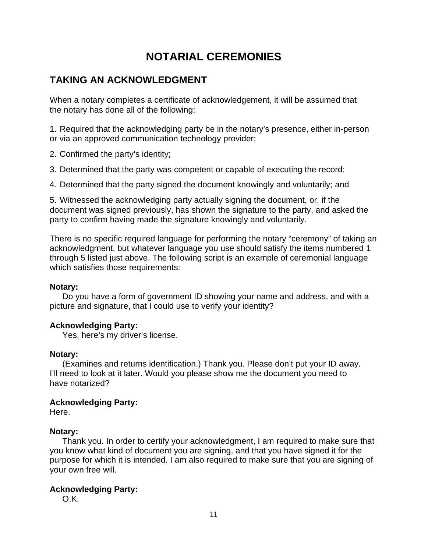# **NOTARIAL CEREMONIES**

# **TAKING AN ACKNOWLEDGMENT**

When a notary completes a certificate of acknowledgement, it will be assumed that the notary has done all of the following:

1. Required that the acknowledging party be in the notary's presence, either in-person or via an approved communication technology provider;

- 2. Confirmed the party's identity;
- 3. Determined that the party was competent or capable of executing the record;

4. Determined that the party signed the document knowingly and voluntarily; and

5. Witnessed the acknowledging party actually signing the document, or, if the document was signed previously, has shown the signature to the party, and asked the party to confirm having made the signature knowingly and voluntarily.

There is no specific required language for performing the notary "ceremony" of taking an acknowledgment, but whatever language you use should satisfy the items numbered 1 through 5 listed just above. The following script is an example of ceremonial language which satisfies those requirements:

#### **Notary:**

Do you have a form of government ID showing your name and address, and with a picture and signature, that I could use to verify your identity?

#### **Acknowledging Party:**

Yes, here's my driver's license.

#### **Notary:**

(Examines and returns identification.) Thank you. Please don't put your ID away. I'll need to look at it later. Would you please show me the document you need to have notarized?

#### **Acknowledging Party:**

Here.

#### **Notary:**

Thank you. In order to certify your acknowledgment, I am required to make sure that you know what kind of document you are signing, and that you have signed it for the purpose for which it is intended. I am also required to make sure that you are signing of your own free will.

#### **Acknowledging Party:**

O.K.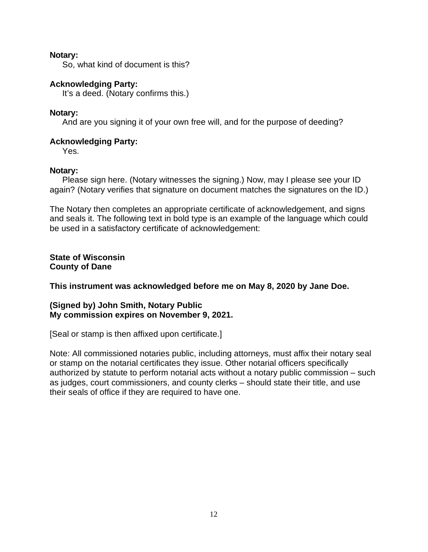#### **Notary:**

So, what kind of document is this?

#### **Acknowledging Party:**

It's a deed. (Notary confirms this.)

#### **Notary:**

And are you signing it of your own free will, and for the purpose of deeding?

#### **Acknowledging Party:**

Yes.

#### **Notary:**

Please sign here. (Notary witnesses the signing.) Now, may I please see your ID again? (Notary verifies that signature on document matches the signatures on the ID.)

The Notary then completes an appropriate certificate of acknowledgement, and signs and seals it. The following text in bold type is an example of the language which could be used in a satisfactory certificate of acknowledgement:

**State of Wisconsin County of Dane** 

**This instrument was acknowledged before me on May 8, 2020 by Jane Doe.** 

#### **(Signed by) John Smith, Notary Public My commission expires on November 9, 2021.**

[Seal or stamp is then affixed upon certificate.]

Note: All commissioned notaries public, including attorneys, must affix their notary seal or stamp on the notarial certificates they issue. Other notarial officers specifically authorized by statute to perform notarial acts without a notary public commission – such as judges, court commissioners, and county clerks – should state their title, and use their seals of office if they are required to have one.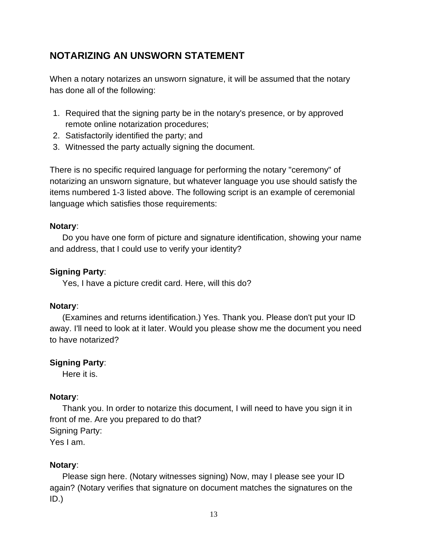# **NOTARIZING AN UNSWORN STATEMENT**

When a notary notarizes an unsworn signature, it will be assumed that the notary has done all of the following:

- 1. Required that the signing party be in the notary's presence, or by approved remote online notarization procedures;
- 2. Satisfactorily identified the party; and
- 3. Witnessed the party actually signing the document.

There is no specific required language for performing the notary "ceremony" of notarizing an unsworn signature, but whatever language you use should satisfy the items numbered 1-3 listed above. The following script is an example of ceremonial language which satisfies those requirements:

# **Notary**:

Do you have one form of picture and signature identification, showing your name and address, that I could use to verify your identity?

# **Signing Party**:

Yes, I have a picture credit card. Here, will this do?

# **Notary**:

(Examines and returns identification.) Yes. Thank you. Please don't put your ID away. I'll need to look at it later. Would you please show me the document you need to have notarized?

# **Signing Party**:

Here it is.

# **Notary**:

Thank you. In order to notarize this document, I will need to have you sign it in front of me. Are you prepared to do that? Signing Party: Yes I am.

# **Notary**:

Please sign here. (Notary witnesses signing) Now, may I please see your ID again? (Notary verifies that signature on document matches the signatures on the ID.)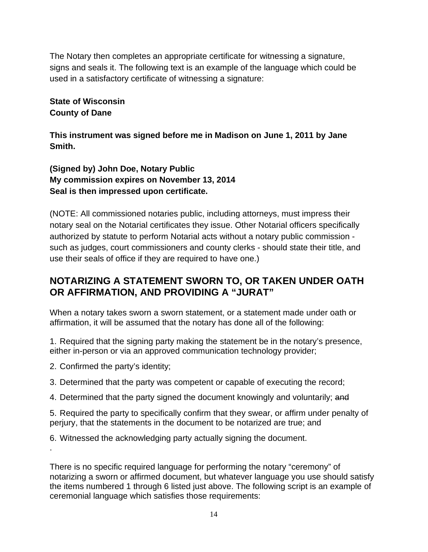The Notary then completes an appropriate certificate for witnessing a signature, signs and seals it. The following text is an example of the language which could be used in a satisfactory certificate of witnessing a signature:

# **State of Wisconsin County of Dane**

**This instrument was signed before me in Madison on June 1, 2011 by Jane Smith.** 

**(Signed by) John Doe, Notary Public My commission expires on November 13, 2014 Seal is then impressed upon certificate.**

(NOTE: All commissioned notaries public, including attorneys, must impress their notary seal on the Notarial certificates they issue. Other Notarial officers specifically authorized by statute to perform Notarial acts without a notary public commission such as judges, court commissioners and county clerks - should state their title, and use their seals of office if they are required to have one.)

# **NOTARIZING A STATEMENT SWORN TO, OR TAKEN UNDER OATH OR AFFIRMATION, AND PROVIDING A "JURAT"**

When a notary takes sworn a sworn statement, or a statement made under oath or affirmation, it will be assumed that the notary has done all of the following:

1. Required that the signing party making the statement be in the notary's presence, either in-person or via an approved communication technology provider;

2. Confirmed the party's identity;

.

3. Determined that the party was competent or capable of executing the record;

4. Determined that the party signed the document knowingly and voluntarily; and

5. Required the party to specifically confirm that they swear, or affirm under penalty of perjury, that the statements in the document to be notarized are true; and

6. Witnessed the acknowledging party actually signing the document.

There is no specific required language for performing the notary "ceremony" of notarizing a sworn or affirmed document, but whatever language you use should satisfy the items numbered 1 through 6 listed just above. The following script is an example of ceremonial language which satisfies those requirements: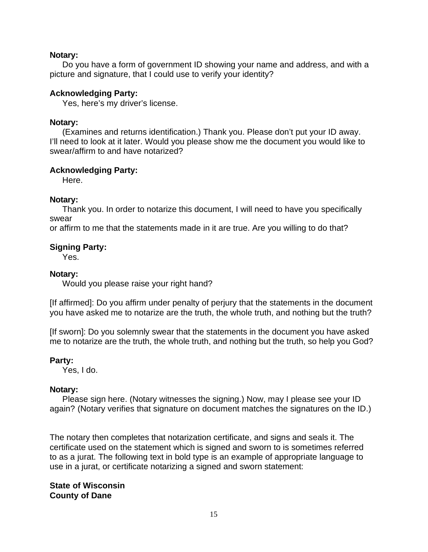#### **Notary:**

Do you have a form of government ID showing your name and address, and with a picture and signature, that I could use to verify your identity?

#### **Acknowledging Party:**

Yes, here's my driver's license.

#### **Notary:**

(Examines and returns identification.) Thank you. Please don't put your ID away. I'll need to look at it later. Would you please show me the document you would like to swear/affirm to and have notarized?

#### **Acknowledging Party:**

Here.

#### **Notary:**

Thank you. In order to notarize this document, I will need to have you specifically swear

or affirm to me that the statements made in it are true. Are you willing to do that?

#### **Signing Party:**

Yes.

#### **Notary:**

Would you please raise your right hand?

[If affirmed]: Do you affirm under penalty of perjury that the statements in the document you have asked me to notarize are the truth, the whole truth, and nothing but the truth?

[If sworn]: Do you solemnly swear that the statements in the document you have asked me to notarize are the truth, the whole truth, and nothing but the truth, so help you God?

#### **Party:**

Yes, I do.

#### **Notary:**

Please sign here. (Notary witnesses the signing.) Now, may I please see your ID again? (Notary verifies that signature on document matches the signatures on the ID.)

The notary then completes that notarization certificate, and signs and seals it. The certificate used on the statement which is signed and sworn to is sometimes referred to as a jurat. The following text in bold type is an example of appropriate language to use in a jurat, or certificate notarizing a signed and sworn statement:

**State of Wisconsin County of Dane**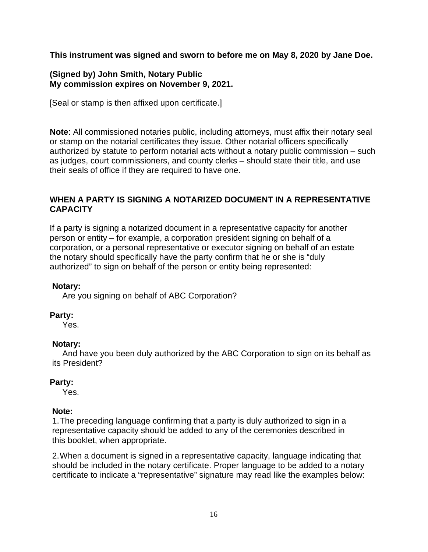**This instrument was signed and sworn to before me on May 8, 2020 by Jane Doe.** 

# **(Signed by) John Smith, Notary Public My commission expires on November 9, 2021.**

[Seal or stamp is then affixed upon certificate.]

**Note**: All commissioned notaries public, including attorneys, must affix their notary seal or stamp on the notarial certificates they issue. Other notarial officers specifically authorized by statute to perform notarial acts without a notary public commission – such as judges, court commissioners, and county clerks – should state their title, and use their seals of office if they are required to have one.

# **WHEN A PARTY IS SIGNING A NOTARIZED DOCUMENT IN A REPRESENTATIVE CAPACITY**

If a party is signing a notarized document in a representative capacity for another person or entity – for example, a corporation president signing on behalf of a corporation, or a personal representative or executor signing on behalf of an estate the notary should specifically have the party confirm that he or she is "duly authorized" to sign on behalf of the person or entity being represented:

#### **Notary:**

Are you signing on behalf of ABC Corporation?

# **Party:**

Yes.

# **Notary:**

And have you been duly authorized by the ABC Corporation to sign on its behalf as its President?

# **Party:**

Yes.

# **Note:**

1. The preceding language confirming that a party is duly authorized to sign in a representative capacity should be added to any of the ceremonies described in this booklet, when appropriate.

2. When a document is signed in a representative capacity, language indicating that should be included in the notary certificate. Proper language to be added to a notary certificate to indicate a "representative" signature may read like the examples below: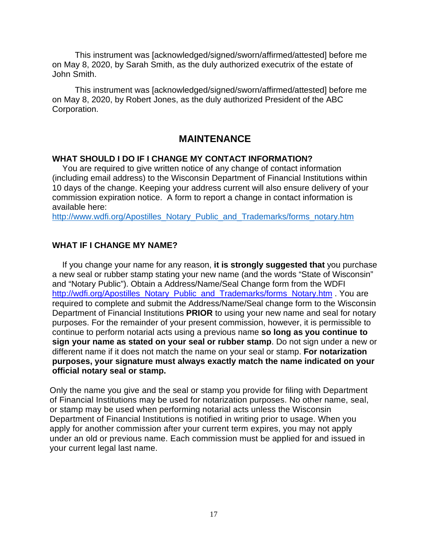This instrument was [acknowledged/signed/sworn/affirmed/attested] before me on May 8, 2020, by Sarah Smith, as the duly authorized executrix of the estate of John Smith.

This instrument was [acknowledged/signed/sworn/affirmed/attested] before me on May 8, 2020, by Robert Jones, as the duly authorized President of the ABC Corporation.

# **MAINTENANCE**

#### **WHAT SHOULD I DO IF I CHANGE MY CONTACT INFORMATION?**

You are required to give written notice of any change of contact information (including email address) to the Wisconsin Department of Financial Institutions within 10 days of the change. Keeping your address current will also ensure delivery of your commission expiration notice. A form to report a change in contact information is available here:

[http://www.wdfi.org/Apostilles\\_Notary\\_Public\\_and\\_Trademarks/forms\\_notary.htm](http://www.wdfi.org/Apostilles_Notary_Public_and_Trademarks/forms_notary.htm)

#### **WHAT IF I CHANGE MY NAME?**

If you change your name for any reason, **it is strongly suggested that** you purchase a new seal or rubber stamp stating your new name (and the words "State of Wisconsin" and "Notary Public"). Obtain a Address/Name/Seal Change form from the WDFI [http://wdfi.org/Apostilles\\_Notary\\_Public\\_and\\_Trademarks/forms\\_Notary.htm](http://wdfi.org/Apostilles_Notary_Public_and_Trademarks/forms_Notary.htm) . You are required to complete and submit the Address/Name/Seal change form to the Wisconsin Department of Financial Institutions **PRIOR** to using your new name and seal for notary purposes. For the remainder of your present commission, however, it is permissible to continue to perform notarial acts using a previous name **so long as you continue to sign your name as stated on your seal or rubber stamp**. Do not sign under a new or different name if it does not match the name on your seal or stamp. **For notarization purposes, your signature must always exactly match the name indicated on your official notary seal or stamp.**

Only the name you give and the seal or stamp you provide for filing with Department of Financial Institutions may be used for notarization purposes. No other name, seal, or stamp may be used when performing notarial acts unless the Wisconsin Department of Financial Institutions is notified in writing prior to usage. When you apply for another commission after your current term expires, you may not apply under an old or previous name. Each commission must be applied for and issued in your current legal last name.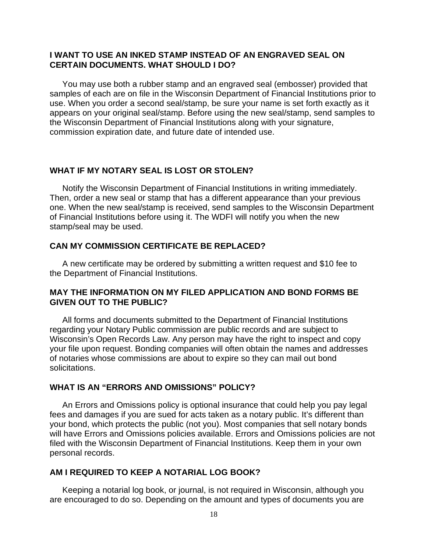#### **I WANT TO USE AN INKED STAMP INSTEAD OF AN ENGRAVED SEAL ON CERTAIN DOCUMENTS. WHAT SHOULD I DO?**

You may use both a rubber stamp and an engraved seal (embosser) provided that samples of each are on file in the Wisconsin Department of Financial Institutions prior to use. When you order a second seal/stamp, be sure your name is set forth exactly as it appears on your original seal/stamp. Before using the new seal/stamp, send samples to the Wisconsin Department of Financial Institutions along with your signature, commission expiration date, and future date of intended use.

#### **WHAT IF MY NOTARY SEAL IS LOST OR STOLEN?**

Notify the Wisconsin Department of Financial Institutions in writing immediately. Then, order a new seal or stamp that has a different appearance than your previous one. When the new seal/stamp is received, send samples to the Wisconsin Department of Financial Institutions before using it. The WDFI will notify you when the new stamp/seal may be used.

#### **CAN MY COMMISSION CERTIFICATE BE REPLACED?**

A new certificate may be ordered by submitting a written request and \$10 fee to the Department of Financial Institutions.

#### **MAY THE INFORMATION ON MY FILED APPLICATION AND BOND FORMS BE GIVEN OUT TO THE PUBLIC?**

All forms and documents submitted to the Department of Financial Institutions regarding your Notary Public commission are public records and are subject to Wisconsin's Open Records Law. Any person may have the right to inspect and copy your file upon request. Bonding companies will often obtain the names and addresses of notaries whose commissions are about to expire so they can mail out bond solicitations.

#### **WHAT IS AN "ERRORS AND OMISSIONS" POLICY?**

An Errors and Omissions policy is optional insurance that could help you pay legal fees and damages if you are sued for acts taken as a notary public. It's different than your bond, which protects the public (not you). Most companies that sell notary bonds will have Errors and Omissions policies available. Errors and Omissions policies are not filed with the Wisconsin Department of Financial Institutions. Keep them in your own personal records.

#### **AM I REQUIRED TO KEEP A NOTARIAL LOG BOOK?**

Keeping a notarial log book, or journal, is not required in Wisconsin, although you are encouraged to do so. Depending on the amount and types of documents you are